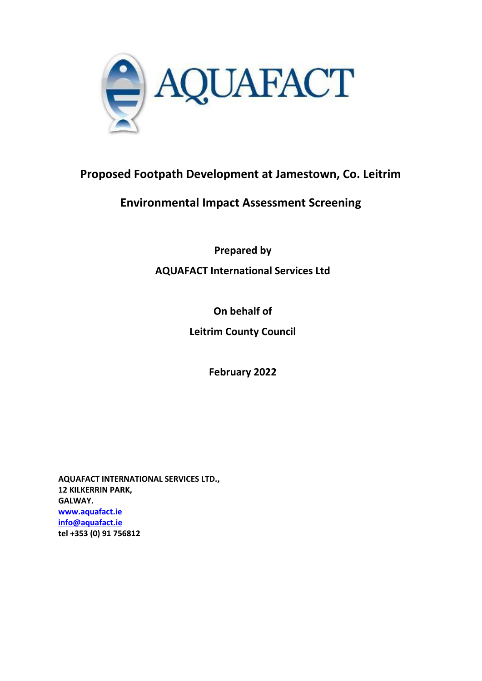

# **Proposed Footpath Development at Jamestown, Co. Leitrim**

# **Environmental Impact Assessment Screening**

**Prepared by**

**AQUAFACT International Services Ltd**

**On behalf of**

**Leitrim County Council**

**February 2022**

**AQUAFACT INTERNATIONAL SERVICES LTD., 12 KILKERRIN PARK, GALWAY. [www.aquafact.ie](http://www.aquafact.ie/) [info@aquafact.ie](mailto:info@aquafact.ie) tel +353 (0) 91 756812**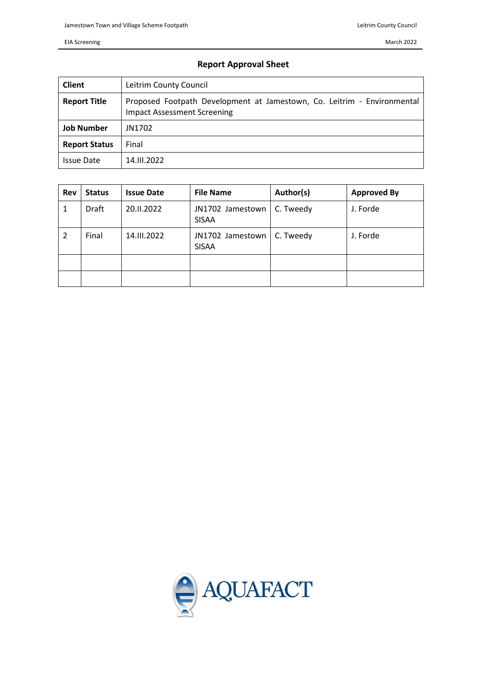March 2022

#### EIA Screening

### **Report Approval Sheet**

| <b>Client</b>        | Leitrim County Council                                                                                        |  |
|----------------------|---------------------------------------------------------------------------------------------------------------|--|
| <b>Report Title</b>  | Proposed Footpath Development at Jamestown, Co. Leitrim - Environmental<br><b>Impact Assessment Screening</b> |  |
| <b>Job Number</b>    | JN1702                                                                                                        |  |
| <b>Report Status</b> | Final                                                                                                         |  |
| <b>Issue Date</b>    | 14.III.2022                                                                                                   |  |

| Rev | <b>Status</b> | <b>Issue Date</b> | <b>File Name</b>                 | Author(s) | <b>Approved By</b> |
|-----|---------------|-------------------|----------------------------------|-----------|--------------------|
| 1   | Draft         | 20.II.2022        | JN1702 Jamestown<br><b>SISAA</b> | C. Tweedy | J. Forde           |
| 2   | Final         | 14.III.2022       | JN1702 Jamestown<br><b>SISAA</b> | C. Tweedy | J. Forde           |
|     |               |                   |                                  |           |                    |
|     |               |                   |                                  |           |                    |

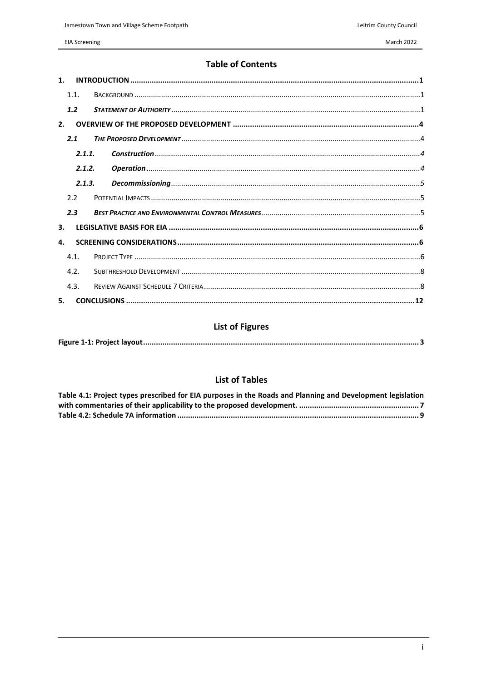# **Table of Contents**

| $\mathbf{1}$ . |  |  |  |
|----------------|--|--|--|
| 1.1.           |  |  |  |
| 1.2            |  |  |  |
| 2.             |  |  |  |
| 2.1            |  |  |  |
| 2.1.1.         |  |  |  |
| 2.1.2.         |  |  |  |
| 2.1.3.         |  |  |  |
| 2.2            |  |  |  |
| 2.3            |  |  |  |
| 3.             |  |  |  |
| 4.             |  |  |  |
| 41             |  |  |  |
| 4.2.           |  |  |  |
| 4.3.           |  |  |  |
| 5.             |  |  |  |

# **List of Figures**

|--|

# **List of Tables**

| Table 4.1: Project types prescribed for EIA purposes in the Roads and Planning and Development legislation |
|------------------------------------------------------------------------------------------------------------|
|                                                                                                            |
|                                                                                                            |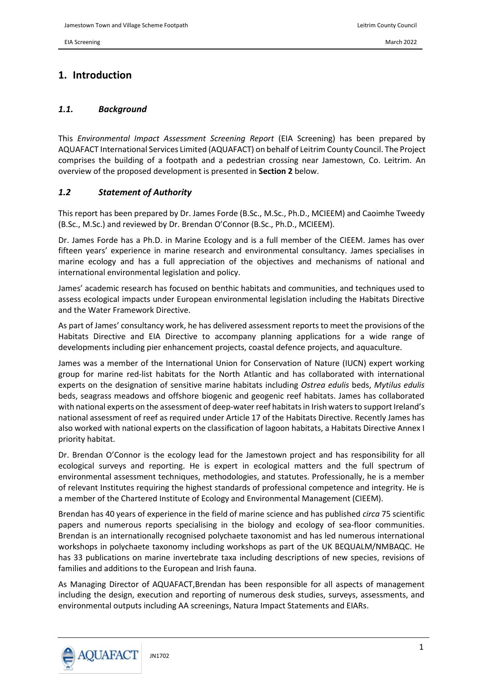# <span id="page-3-0"></span>**1. Introduction**

#### <span id="page-3-1"></span>*1.1. Background*

This *Environmental Impact Assessment Screening Report* (EIA Screening) has been prepared by AQUAFACT International Services Limited (AQUAFACT) on behalf of Leitrim County Council. The Project comprises the building of a footpath and a pedestrian crossing near Jamestown, Co. Leitrim. An overview of the proposed development is presented in **Section [2](#page-6-0)** below.

#### <span id="page-3-2"></span>*1.2 Statement of Authority*

This report has been prepared by Dr. James Forde (B.Sc., M.Sc., Ph.D., MCIEEM) and Caoimhe Tweedy (B.Sc., M.Sc.) and reviewed by Dr. Brendan O'Connor (B.Sc., Ph.D., MCIEEM).

Dr. James Forde has a Ph.D. in Marine Ecology and is a full member of the CIEEM. James has over fifteen years' experience in marine research and environmental consultancy. James specialises in marine ecology and has a full appreciation of the objectives and mechanisms of national and international environmental legislation and policy.

James' academic research has focused on benthic habitats and communities, and techniques used to assess ecological impacts under European environmental legislation including the Habitats Directive and the Water Framework Directive.

As part of James' consultancy work, he has delivered assessment reports to meet the provisions of the Habitats Directive and EIA Directive to accompany planning applications for a wide range of developments including pier enhancement projects, coastal defence projects, and aquaculture.

James was a member of the International Union for Conservation of Nature (IUCN) expert working group for marine red-list habitats for the North Atlantic and has collaborated with international experts on the designation of sensitive marine habitats including *Ostrea edulis* beds, *Mytilus edulis* beds, seagrass meadows and offshore biogenic and geogenic reef habitats. James has collaborated with national experts on the assessment of deep-water reef habitats in Irish waters to support Ireland's national assessment of reef as required under Article 17 of the Habitats Directive. Recently James has also worked with national experts on the classification of lagoon habitats, a Habitats Directive Annex I priority habitat.

Dr. Brendan O'Connor is the ecology lead for the Jamestown project and has responsibility for all ecological surveys and reporting. He is expert in ecological matters and the full spectrum of environmental assessment techniques, methodologies, and statutes. Professionally, he is a member of relevant Institutes requiring the highest standards of professional competence and integrity. He is a member of the Chartered Institute of Ecology and Environmental Management (CIEEM).

Brendan has 40 years of experience in the field of marine science and has published *circa* 75 scientific papers and numerous reports specialising in the biology and ecology of sea-floor communities. Brendan is an internationally recognised polychaete taxonomist and has led numerous international workshops in polychaete taxonomy including workshops as part of the UK BEQUALM/NMBAQC. He has 33 publications on marine invertebrate taxa including descriptions of new species, revisions of families and additions to the European and Irish fauna.

As Managing Director of AQUAFACT,Brendan has been responsible for all aspects of management including the design, execution and reporting of numerous desk studies, surveys, assessments, and environmental outputs including AA screenings, Natura Impact Statements and EIARs.

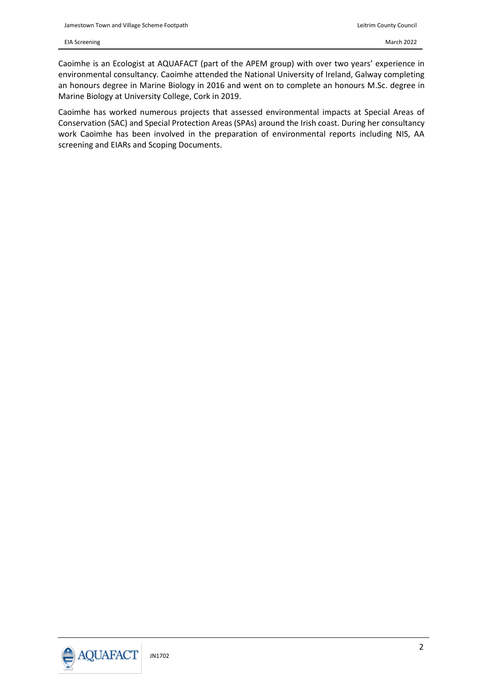Caoimhe is an Ecologist at AQUAFACT (part of the APEM group) with over two years' experience in environmental consultancy. Caoimhe attended the National University of Ireland, Galway completing an honours degree in Marine Biology in 2016 and went on to complete an honours M.Sc. degree in Marine Biology at University College, Cork in 2019.

Caoimhe has worked numerous projects that assessed environmental impacts at Special Areas of Conservation (SAC) and Special Protection Areas (SPAs) around the Irish coast. During her consultancy work Caoimhe has been involved in the preparation of environmental reports including NIS, AA screening and EIARs and Scoping Documents.

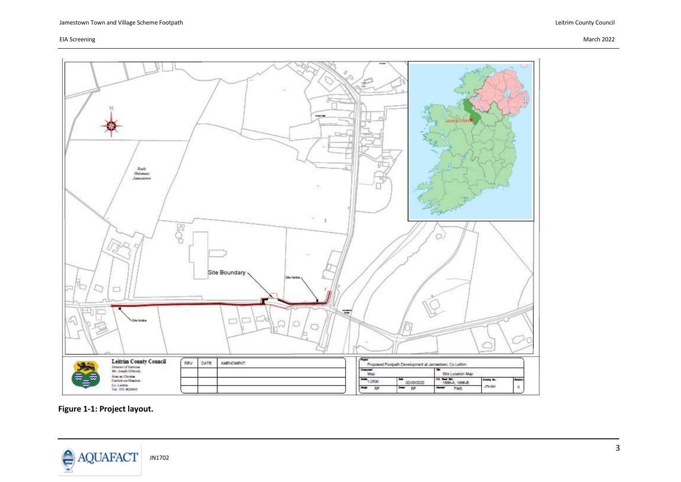

<span id="page-5-0"></span>**Figure 1-1: Project layout.**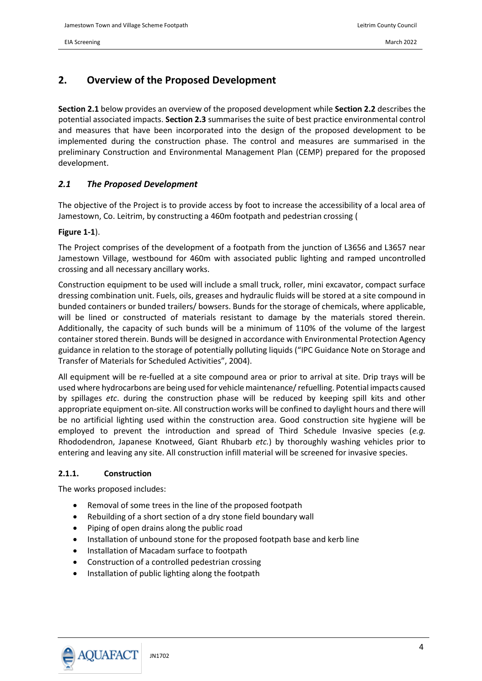### <span id="page-6-0"></span>**2. Overview of the Proposed Development**

**Section [2.1](#page-6-1)** below provides an overview of the proposed development while **Section [2.2](#page-7-2)** describes the potential associated impacts. **Sectio[n 2.3](#page-7-3)** summarises the suite of best practice environmental control and measures that have been incorporated into the design of the proposed development to be implemented during the construction phase. The control and measures are summarised in the preliminary Construction and Environmental Management Plan (CEMP) prepared for the proposed development.

#### <span id="page-6-1"></span>*2.1 The Proposed Development*

The objective of the Project is to provide access by foot to increase the accessibility of a local area of Jamestown, Co. Leitrim, by constructing a 460m footpath and pedestrian crossing [\(](#page-5-0)

#### **[Figure](#page-5-0) 1-1**).

The Project comprises of the development of a footpath from the junction of L3656 and L3657 near Jamestown Village, westbound for 460m with associated public lighting and ramped uncontrolled crossing and all necessary ancillary works.

Construction equipment to be used will include a small truck, roller, mini excavator, compact surface dressing combination unit. Fuels, oils, greases and hydraulic fluids will be stored at a site compound in bunded containers or bunded trailers/ bowsers. Bunds for the storage of chemicals, where applicable, will be lined or constructed of materials resistant to damage by the materials stored therein. Additionally, the capacity of such bunds will be a minimum of 110% of the volume of the largest container stored therein. Bunds will be designed in accordance with Environmental Protection Agency guidance in relation to the storage of potentially polluting liquids ("IPC Guidance Note on Storage and Transfer of Materials for Scheduled Activities", 2004).

All equipment will be re-fuelled at a site compound area or prior to arrival at site. Drip trays will be used where hydrocarbons are being used for vehicle maintenance/ refuelling. Potential impacts caused by spillages *etc*. during the construction phase will be reduced by keeping spill kits and other appropriate equipment on-site. All construction works will be confined to daylight hours and there will be no artificial lighting used within the construction area. Good construction site hygiene will be employed to prevent the introduction and spread of Third Schedule Invasive species (*e.g.* Rhododendron, Japanese Knotweed, Giant Rhubarb *etc.*) by thoroughly washing vehicles prior to entering and leaving any site. All construction infill material will be screened for invasive species.

#### <span id="page-6-2"></span>**2.1.1. Construction**

The works proposed includes:

- Removal of some trees in the line of the proposed footpath
- Rebuilding of a short section of a dry stone field boundary wall
- Piping of open drains along the public road
- Installation of unbound stone for the proposed footpath base and kerb line
- Installation of Macadam surface to footpath
- Construction of a controlled pedestrian crossing
- Installation of public lighting along the footpath

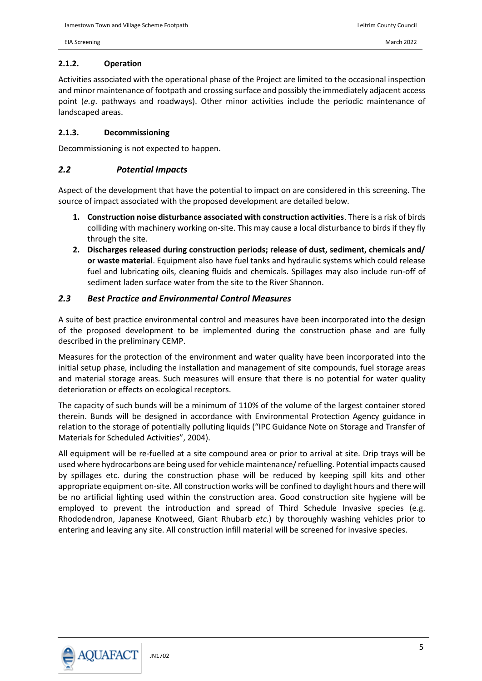#### <span id="page-7-0"></span>**2.1.2. Operation**

Activities associated with the operational phase of the Project are limited to the occasional inspection and minor maintenance of footpath and crossing surface and possibly the immediately adjacent access point (*e.g*. pathways and roadways). Other minor activities include the periodic maintenance of landscaped areas.

#### <span id="page-7-1"></span>**2.1.3. Decommissioning**

Decommissioning is not expected to happen.

#### <span id="page-7-2"></span>*2.2 Potential Impacts*

Aspect of the development that have the potential to impact on are considered in this screening. The source of impact associated with the proposed development are detailed below.

- **1. Construction noise disturbance associated with construction activities**. There is a risk of birds colliding with machinery working on-site. This may cause a local disturbance to birds if they fly through the site.
- **2. Discharges released during construction periods; release of dust, sediment, chemicals and/ or waste material**. Equipment also have fuel tanks and hydraulic systems which could release fuel and lubricating oils, cleaning fluids and chemicals. Spillages may also include run-off of sediment laden surface water from the site to the River Shannon.

#### <span id="page-7-3"></span>*2.3 Best Practice and Environmental Control Measures*

A suite of best practice environmental control and measures have been incorporated into the design of the proposed development to be implemented during the construction phase and are fully described in the preliminary CEMP.

Measures for the protection of the environment and water quality have been incorporated into the initial setup phase, including the installation and management of site compounds, fuel storage areas and material storage areas. Such measures will ensure that there is no potential for water quality deterioration or effects on ecological receptors.

The capacity of such bunds will be a minimum of 110% of the volume of the largest container stored therein. Bunds will be designed in accordance with Environmental Protection Agency guidance in relation to the storage of potentially polluting liquids ("IPC Guidance Note on Storage and Transfer of Materials for Scheduled Activities", 2004).

All equipment will be re-fuelled at a site compound area or prior to arrival at site. Drip trays will be used where hydrocarbons are being used for vehicle maintenance/ refuelling. Potential impacts caused by spillages etc. during the construction phase will be reduced by keeping spill kits and other appropriate equipment on-site. All construction works will be confined to daylight hours and there will be no artificial lighting used within the construction area. Good construction site hygiene will be employed to prevent the introduction and spread of Third Schedule Invasive species (e.g. Rhododendron, Japanese Knotweed, Giant Rhubarb *etc.*) by thoroughly washing vehicles prior to entering and leaving any site. All construction infill material will be screened for invasive species.

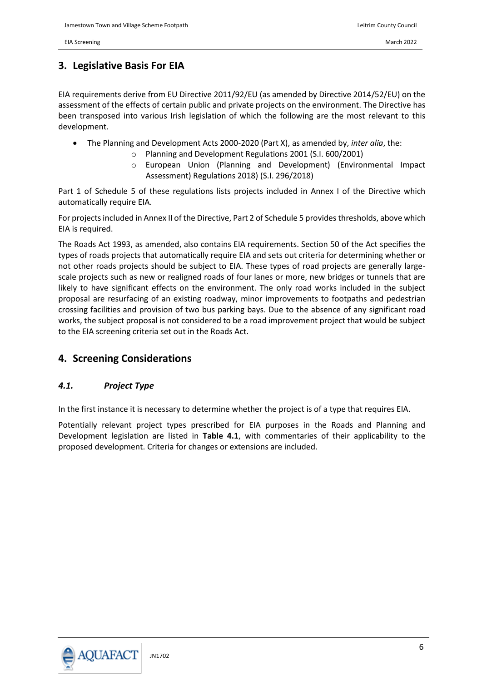# <span id="page-8-0"></span>**3. Legislative Basis For EIA**

EIA requirements derive from EU Directive 2011/92/EU (as amended by Directive 2014/52/EU) on the assessment of the effects of certain public and private projects on the environment. The Directive has been transposed into various Irish legislation of which the following are the most relevant to this development.

- The Planning and Development Acts 2000-2020 (Part X), as amended by, *inter alia*, the:
	- o Planning and Development Regulations 2001 (S.I. 600/2001)
	- o European Union (Planning and Development) (Environmental Impact Assessment) Regulations 2018) (S.I. 296/2018)

Part 1 of Schedule 5 of these regulations lists projects included in Annex I of the Directive which automatically require EIA.

For projects included in Annex II of the Directive, Part 2 of Schedule 5 provides thresholds, above which EIA is required.

The Roads Act 1993, as amended, also contains EIA requirements. Section 50 of the Act specifies the types of roads projects that automatically require EIA and sets out criteria for determining whether or not other roads projects should be subject to EIA. These types of road projects are generally largescale projects such as new or realigned roads of four lanes or more, new bridges or tunnels that are likely to have significant effects on the environment. The only road works included in the subject proposal are resurfacing of an existing roadway, minor improvements to footpaths and pedestrian crossing facilities and provision of two bus parking bays. Due to the absence of any significant road works, the subject proposal is not considered to be a road improvement project that would be subject to the EIA screening criteria set out in the Roads Act.

### <span id="page-8-1"></span>**4. Screening Considerations**

#### <span id="page-8-2"></span>*4.1. Project Type*

In the first instance it is necessary to determine whether the project is of a type that requires EIA.

Potentially relevant project types prescribed for EIA purposes in the Roads and Planning and Development legislation are listed in **[Table 4.1](#page-9-0)**, with commentaries of their applicability to the proposed development. Criteria for changes or extensions are included.

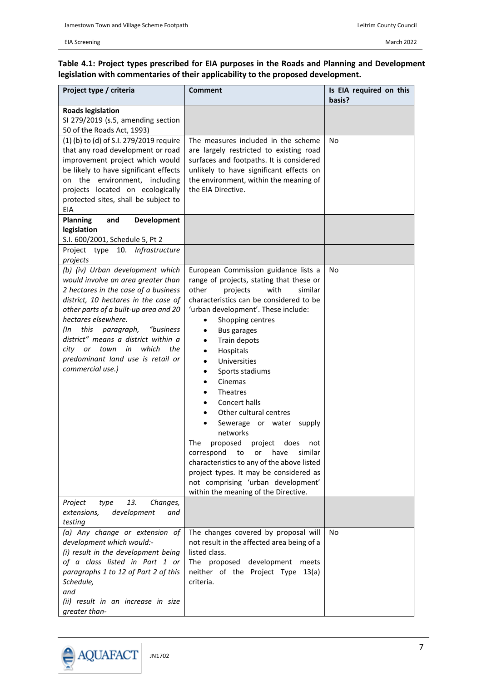#### <span id="page-9-0"></span>**Table 4.1: Project types prescribed for EIA purposes in the Roads and Planning and Development legislation with commentaries of their applicability to the proposed development.**

| Project type / criteria                                                                                                                                                                                                                                                                                                                                                                                      | <b>Comment</b>                                                                                                                                                                                                                                                                                                                                                                                                                                                                                                                                                                                                                                                                                    | Is EIA required on this<br>basis? |
|--------------------------------------------------------------------------------------------------------------------------------------------------------------------------------------------------------------------------------------------------------------------------------------------------------------------------------------------------------------------------------------------------------------|---------------------------------------------------------------------------------------------------------------------------------------------------------------------------------------------------------------------------------------------------------------------------------------------------------------------------------------------------------------------------------------------------------------------------------------------------------------------------------------------------------------------------------------------------------------------------------------------------------------------------------------------------------------------------------------------------|-----------------------------------|
| <b>Roads legislation</b><br>SI 279/2019 (s.5, amending section<br>50 of the Roads Act, 1993)                                                                                                                                                                                                                                                                                                                 |                                                                                                                                                                                                                                                                                                                                                                                                                                                                                                                                                                                                                                                                                                   |                                   |
| (1) (b) to (d) of S.I. 279/2019 require<br>that any road development or road<br>improvement project which would<br>be likely to have significant effects<br>on the environment, including<br>projects located on ecologically<br>protected sites, shall be subject to<br>EIA<br><b>Planning</b><br>and<br>Development<br>legislation                                                                         | The measures included in the scheme<br>are largely restricted to existing road<br>surfaces and footpaths. It is considered<br>unlikely to have significant effects on<br>the environment, within the meaning of<br>the EIA Directive.                                                                                                                                                                                                                                                                                                                                                                                                                                                             | No                                |
| S.I. 600/2001, Schedule 5, Pt 2<br>Infrastructure<br>Project type 10.                                                                                                                                                                                                                                                                                                                                        |                                                                                                                                                                                                                                                                                                                                                                                                                                                                                                                                                                                                                                                                                                   |                                   |
| projects<br>(b) (iv) Urban development which<br>would involve an area greater than<br>2 hectares in the case of a business<br>district, 10 hectares in the case of<br>other parts of a built-up area and 20<br>hectares elsewhere.<br>this paragraph,<br>"business<br>(In<br>district" means a district within a<br>city or town in<br>which<br>the<br>predominant land use is retail or<br>commercial use.) | European Commission guidance lists a<br>range of projects, stating that these or<br>other<br>with<br>similar<br>projects<br>characteristics can be considered to be<br>'urban development'. These include:<br>Shopping centres<br>٠<br>Bus garages<br>Train depots<br>Hospitals<br>Universities<br>Sports stadiums<br>Cinemas<br>Theatres<br>Concert halls<br>٠<br>Other cultural centres<br>Sewerage or water supply<br>networks<br>The<br>proposed<br>project<br>does<br>not<br>similar<br>correspond<br>have<br>to<br>or<br>characteristics to any of the above listed<br>project types. It may be considered as<br>not comprising 'urban development'<br>within the meaning of the Directive. | No                                |
| 13.<br>Project<br>Changes,<br>type<br>development<br>extensions,<br>and<br>testing                                                                                                                                                                                                                                                                                                                           |                                                                                                                                                                                                                                                                                                                                                                                                                                                                                                                                                                                                                                                                                                   |                                   |
| (a) Any change or extension of<br>development which would:-<br>(i) result in the development being<br>of a class listed in Part 1 or<br>paragraphs 1 to 12 of Part 2 of this<br>Schedule,<br>and<br>(ii) result in an increase in size<br>greater than-                                                                                                                                                      | The changes covered by proposal will<br>not result in the affected area being of a<br>listed class.<br>The proposed development<br>meets<br>neither of the Project Type 13(a)<br>criteria.                                                                                                                                                                                                                                                                                                                                                                                                                                                                                                        | No                                |

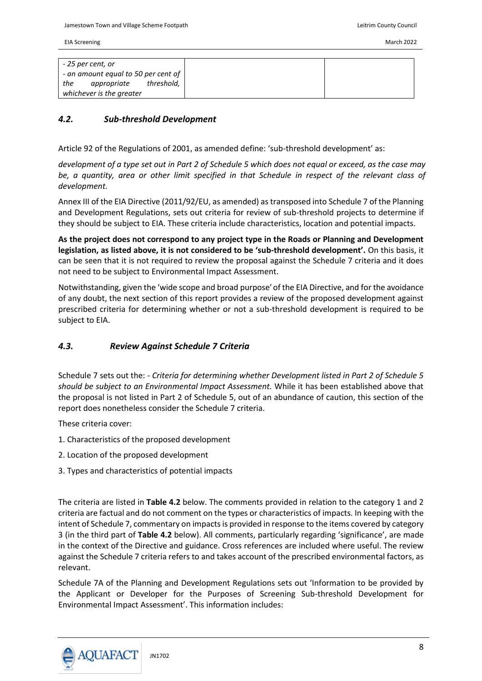|     | - 25 per cent, or                   |            |
|-----|-------------------------------------|------------|
|     | - an amount equal to 50 per cent of |            |
| the | appropriate                         | threshold, |
|     | whichever is the greater            |            |

#### <span id="page-10-0"></span>*4.2. Sub-threshold Development*

Article 92 of the Regulations of 2001, as amended define: 'sub-threshold development' as:

*development of a type set out in Part 2 of Schedule 5 which does not equal or exceed, as the case may be, a quantity, area or other limit specified in that Schedule in respect of the relevant class of development.* 

Annex III of the EIA Directive (2011/92/EU, as amended) as transposed into Schedule 7 of the Planning and Development Regulations, sets out criteria for review of sub-threshold projects to determine if they should be subject to EIA. These criteria include characteristics, location and potential impacts.

**As the project does not correspond to any project type in the Roads or Planning and Development legislation, as listed above, it is not considered to be 'sub-threshold development'.** On this basis, it can be seen that it is not required to review the proposal against the Schedule 7 criteria and it does not need to be subject to Environmental Impact Assessment.

Notwithstanding, given the 'wide scope and broad purpose'of the EIA Directive, and for the avoidance of any doubt, the next section of this report provides a review of the proposed development against prescribed criteria for determining whether or not a sub-threshold development is required to be subject to EIA.

#### <span id="page-10-1"></span>*4.3. Review Against Schedule 7 Criteria*

Schedule 7 sets out the: - *Criteria for determining whether Development listed in Part 2 of Schedule 5 should be subject to an Environmental Impact Assessment.* While it has been established above that the proposal is not listed in Part 2 of Schedule 5, out of an abundance of caution, this section of the report does nonetheless consider the Schedule 7 criteria.

These criteria cover:

- 1. Characteristics of the proposed development
- 2. Location of the proposed development
- 3. Types and characteristics of potential impacts

The criteria are listed in **[Table 4.2](#page-11-0)** below. The comments provided in relation to the category 1 and 2 criteria are factual and do not comment on the types or characteristics of impacts. In keeping with the intent of Schedule 7, commentary on impacts is provided in response to the items covered by category 3 (in the third part of **[Table 4.2](#page-11-0)** below). All comments, particularly regarding 'significance', are made in the context of the Directive and guidance. Cross references are included where useful. The review against the Schedule 7 criteria refers to and takes account of the prescribed environmental factors, as relevant.

Schedule 7A of the Planning and Development Regulations sets out 'Information to be provided by the Applicant or Developer for the Purposes of Screening Sub-threshold Development for Environmental Impact Assessment'. This information includes:

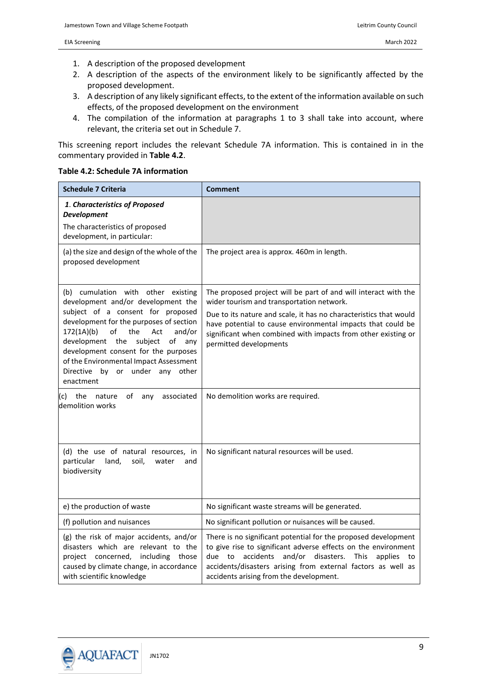- 1. A description of the proposed development
- 2. A description of the aspects of the environment likely to be significantly affected by the proposed development.
- 3. A description of any likely significant effects, to the extent of the information available on such effects, of the proposed development on the environment
- 4. The compilation of the information at paragraphs 1 to 3 shall take into account, where relevant, the criteria set out in Schedule 7.

This screening report includes the relevant Schedule 7A information. This is contained in in the commentary provided in **[Table 4.2](#page-11-0)**.

#### <span id="page-11-0"></span>**Table 4.2: Schedule 7A information**

| <b>Schedule 7 Criteria</b>                                                                                                                                                                                                                                                                                                                                                     | <b>Comment</b>                                                                                                                                                                                                                                                                                                                              |
|--------------------------------------------------------------------------------------------------------------------------------------------------------------------------------------------------------------------------------------------------------------------------------------------------------------------------------------------------------------------------------|---------------------------------------------------------------------------------------------------------------------------------------------------------------------------------------------------------------------------------------------------------------------------------------------------------------------------------------------|
| 1. Characteristics of Proposed<br><b>Development</b>                                                                                                                                                                                                                                                                                                                           |                                                                                                                                                                                                                                                                                                                                             |
| The characteristics of proposed<br>development, in particular:                                                                                                                                                                                                                                                                                                                 |                                                                                                                                                                                                                                                                                                                                             |
| (a) the size and design of the whole of the<br>proposed development                                                                                                                                                                                                                                                                                                            | The project area is approx. 460m in length.                                                                                                                                                                                                                                                                                                 |
| (b) cumulation with other existing<br>development and/or development the<br>subject of a consent for proposed<br>development for the purposes of section<br>of<br>172(1A)(b)<br>the<br>Act<br>and/or<br>development the<br>subject<br>of any<br>development consent for the purposes<br>of the Environmental Impact Assessment<br>Directive by or under any other<br>enactment | The proposed project will be part of and will interact with the<br>wider tourism and transportation network.<br>Due to its nature and scale, it has no characteristics that would<br>have potential to cause environmental impacts that could be<br>significant when combined with impacts from other existing or<br>permitted developments |
| of<br>(c)<br>the nature<br>any<br>associated<br>demolition works                                                                                                                                                                                                                                                                                                               | No demolition works are required.                                                                                                                                                                                                                                                                                                           |
| (d) the use of natural resources, in<br>particular<br>land,<br>soil,<br>water<br>and<br>biodiversity                                                                                                                                                                                                                                                                           | No significant natural resources will be used.                                                                                                                                                                                                                                                                                              |
| e) the production of waste                                                                                                                                                                                                                                                                                                                                                     | No significant waste streams will be generated.                                                                                                                                                                                                                                                                                             |
| (f) pollution and nuisances                                                                                                                                                                                                                                                                                                                                                    | No significant pollution or nuisances will be caused.                                                                                                                                                                                                                                                                                       |
| (g) the risk of major accidents, and/or<br>disasters which are relevant to the<br>project concerned, including<br>those<br>caused by climate change, in accordance<br>with scientific knowledge                                                                                                                                                                                | There is no significant potential for the proposed development<br>to give rise to significant adverse effects on the environment<br>accidents<br>and/or<br>disasters.<br>due to<br>This<br>applies<br>to<br>accidents/disasters arising from external factors as well as<br>accidents arising from the development.                         |

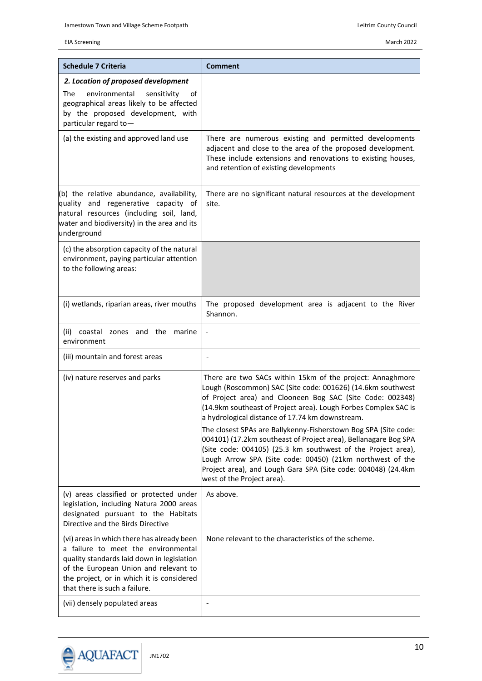| <b>Schedule 7 Criteria</b>                                                                                                                                                                                                                             | <b>Comment</b>                                                                                                                                                                                                                                                                                                                                                 |
|--------------------------------------------------------------------------------------------------------------------------------------------------------------------------------------------------------------------------------------------------------|----------------------------------------------------------------------------------------------------------------------------------------------------------------------------------------------------------------------------------------------------------------------------------------------------------------------------------------------------------------|
| 2. Location of proposed development<br>environmental<br>The<br>sensitivity<br>of<br>geographical areas likely to be affected<br>by the proposed development, with<br>particular regard to-                                                             |                                                                                                                                                                                                                                                                                                                                                                |
| (a) the existing and approved land use                                                                                                                                                                                                                 | There are numerous existing and permitted developments<br>adjacent and close to the area of the proposed development.<br>These include extensions and renovations to existing houses,<br>and retention of existing developments                                                                                                                                |
| (b) the relative abundance, availability,<br>quality and regenerative capacity of<br>natural resources (including soil, land,<br>water and biodiversity) in the area and its<br>underground                                                            | There are no significant natural resources at the development<br>site.                                                                                                                                                                                                                                                                                         |
| (c) the absorption capacity of the natural<br>environment, paying particular attention<br>to the following areas:                                                                                                                                      |                                                                                                                                                                                                                                                                                                                                                                |
| (i) wetlands, riparian areas, river mouths                                                                                                                                                                                                             | The proposed development area is adjacent to the River<br>Shannon.                                                                                                                                                                                                                                                                                             |
| coastal zones and the marine<br>(ii)<br>environment                                                                                                                                                                                                    | $\qquad \qquad \blacksquare$                                                                                                                                                                                                                                                                                                                                   |
| (iii) mountain and forest areas                                                                                                                                                                                                                        |                                                                                                                                                                                                                                                                                                                                                                |
| (iv) nature reserves and parks                                                                                                                                                                                                                         | There are two SACs within 15km of the project: Annaghmore<br>Lough (Roscommon) SAC (Site code: 001626) (14.6km southwest<br>of Project area) and Clooneen Bog SAC (Site Code: 002348)<br>(14.9km southeast of Project area). Lough Forbes Complex SAC is<br>a hydrological distance of 17.74 km downstream.                                                    |
|                                                                                                                                                                                                                                                        | The closest SPAs are Ballykenny-Fisherstown Bog SPA (Site code:<br>004101) (17.2km southeast of Project area), Bellanagare Bog SPA<br>(Site code: 004105) (25.3 km southwest of the Project area),<br>Lough Arrow SPA (Site code: 00450) (21km northwest of the<br>Project area), and Lough Gara SPA (Site code: 004048) (24.4km<br>west of the Project area). |
| (v) areas classified or protected under<br>legislation, including Natura 2000 areas<br>designated pursuant to the Habitats<br>Directive and the Birds Directive                                                                                        | As above.                                                                                                                                                                                                                                                                                                                                                      |
| (vi) areas in which there has already been<br>a failure to meet the environmental<br>quality standards laid down in legislation<br>of the European Union and relevant to<br>the project, or in which it is considered<br>that there is such a failure. | None relevant to the characteristics of the scheme.                                                                                                                                                                                                                                                                                                            |
| (vii) densely populated areas                                                                                                                                                                                                                          |                                                                                                                                                                                                                                                                                                                                                                |

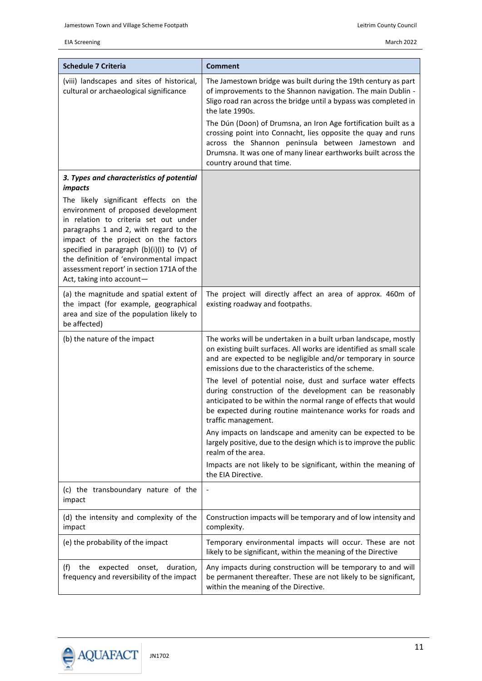| <b>Schedule 7 Criteria</b>                                                                                                                                                                                                                                                                                                                                                 | Comment                                                                                                                                                                                                                                                                                  |
|----------------------------------------------------------------------------------------------------------------------------------------------------------------------------------------------------------------------------------------------------------------------------------------------------------------------------------------------------------------------------|------------------------------------------------------------------------------------------------------------------------------------------------------------------------------------------------------------------------------------------------------------------------------------------|
| (viii) landscapes and sites of historical,<br>cultural or archaeological significance                                                                                                                                                                                                                                                                                      | The Jamestown bridge was built during the 19th century as part<br>of improvements to the Shannon navigation. The main Dublin -<br>Sligo road ran across the bridge until a bypass was completed in<br>the late 1990s.<br>The Dún (Doon) of Drumsna, an Iron Age fortification built as a |
|                                                                                                                                                                                                                                                                                                                                                                            | crossing point into Connacht, lies opposite the quay and runs<br>across the Shannon peninsula between Jamestown and<br>Drumsna. It was one of many linear earthworks built across the<br>country around that time.                                                                       |
| 3. Types and characteristics of potential<br><i>impacts</i>                                                                                                                                                                                                                                                                                                                |                                                                                                                                                                                                                                                                                          |
| The likely significant effects on the<br>environment of proposed development<br>in relation to criteria set out under<br>paragraphs 1 and 2, with regard to the<br>impact of the project on the factors<br>specified in paragraph (b)(i)(l) to (V) of<br>the definition of 'environmental impact<br>assessment report' in section 171A of the<br>Act, taking into account- |                                                                                                                                                                                                                                                                                          |
| (a) the magnitude and spatial extent of<br>the impact (for example, geographical<br>area and size of the population likely to<br>be affected)                                                                                                                                                                                                                              | The project will directly affect an area of approx. 460m of<br>existing roadway and footpaths.                                                                                                                                                                                           |
| (b) the nature of the impact                                                                                                                                                                                                                                                                                                                                               | The works will be undertaken in a built urban landscape, mostly<br>on existing built surfaces. All works are identified as small scale<br>and are expected to be negligible and/or temporary in source<br>emissions due to the characteristics of the scheme.                            |
|                                                                                                                                                                                                                                                                                                                                                                            | The level of potential noise, dust and surface water effects<br>during construction of the development can be reasonably<br>anticipated to be within the normal range of effects that would<br>be expected during routine maintenance works for roads and<br>traffic management.         |
|                                                                                                                                                                                                                                                                                                                                                                            | Any impacts on landscape and amenity can be expected to be<br>largely positive, due to the design which is to improve the public<br>realm of the area.                                                                                                                                   |
|                                                                                                                                                                                                                                                                                                                                                                            | Impacts are not likely to be significant, within the meaning of<br>the EIA Directive.                                                                                                                                                                                                    |
| (c) the transboundary nature of the<br>impact                                                                                                                                                                                                                                                                                                                              |                                                                                                                                                                                                                                                                                          |
| (d) the intensity and complexity of the<br>impact                                                                                                                                                                                                                                                                                                                          | Construction impacts will be temporary and of low intensity and<br>complexity.                                                                                                                                                                                                           |
| (e) the probability of the impact                                                                                                                                                                                                                                                                                                                                          | Temporary environmental impacts will occur. These are not<br>likely to be significant, within the meaning of the Directive                                                                                                                                                               |
| duration,<br>(f)<br>the<br>expected<br>onset,<br>frequency and reversibility of the impact                                                                                                                                                                                                                                                                                 | Any impacts during construction will be temporary to and will<br>be permanent thereafter. These are not likely to be significant,<br>within the meaning of the Directive.                                                                                                                |